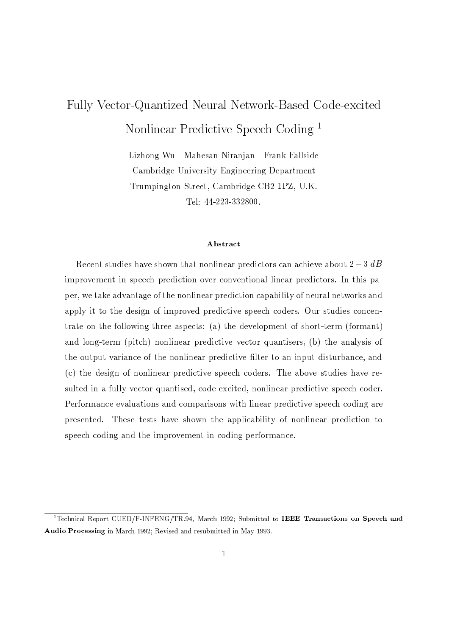# Fully Vector-Quantized Neural Network-Based Code-excited Nonlinear Predictive Speech Coding<sup>1</sup>

Lizhong Wu Mahesan Niranjan Frank Fallside Cambridge University Engineering Department Trumpington Street, Cambridge CB2 1PZ, U.K. Tel: 44-223-332800.

### Abstract

Recent studies have shown that nonlinear predictors can achieve about  $2-3$  dB improvement in speech prediction over conventional linear predictors. In this paper, we take advantage of the nonlinear prediction capability of neural networks and apply it to the design of improved predictive speech coders. Our studies concentrate on the following three aspects: (a) the development of short-term (formant) and long-term (pitch) nonlinear predictive vector quantisers, (b) the analysis of the output variance of the nonlinear predictive filter to an input disturbance, and (c) the design of nonlinear predictive speech coders. The above studies have resulted in a fully vector-quantised, code-excited, nonlinear predictive speech coder. Performance evaluations and comparisons with linear predictive speech coding are presented. These tests have shown the applicability of nonlinear prediction to speech coding and the improvement in coding performance.

<sup>&</sup>lt;sup>1</sup>Technical Report CUED/F-INFENG/TR.94, March 1992; Submitted to IEEE Transactions on Speech and Audio Processing in March 1992; Revised and resubmitted in May 1993.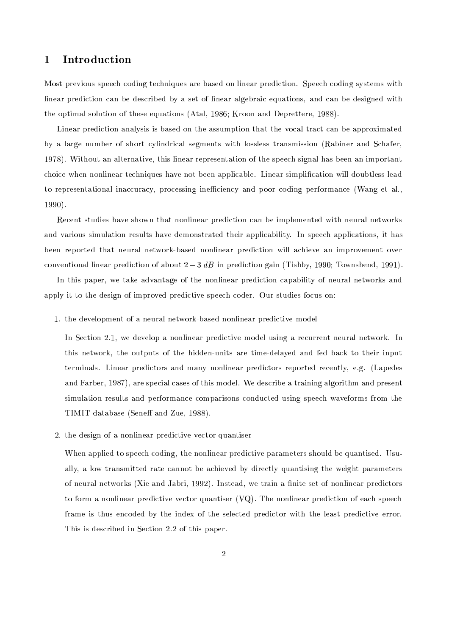#### $\mathbf 1$ Introduction

Most previous speech coding techniques are based on linear prediction. Speech coding systems with linear prediction can be described by a set of linear algebraic equations, and can be designed with the optimal solution of these equations (Atal, 1986; Kroon and Deprettere, 1988).

Linear prediction analysis is based on the assumption that the vocal tract can be approximated by a large number of short cylindrical segments with lossless transmission (Rabiner and Schafer. 1978). Without an alternative, this linear representation of the speech signal has been an important choice when nonlinear techniques have not been applicable. Linear simplification will doubtless lead to representational inaccuracy, processing inefficiency and poor coding performance (Wang et al.,  $1990$ ).

Recent studies have shown that nonlinear prediction can be implemented with neural networks and various simulation results have demonstrated their applicability. In speech applications, it has been reported that neural network-based nonlinear prediction will achieve an improvement over conventional linear prediction of about  $2-3$  dB in prediction gain (Tishby, 1990; Townshend, 1991).

In this paper, we take advantage of the nonlinear prediction capability of neural networks and apply it to the design of improved predictive speech coder. Our studies focus on:

1. the development of a neural network-based nonlinear predictive model

In Section 2.1, we develop a nonlinear predictive model using a recurrent neural network. In this network, the outputs of the hidden-units are time-delayed and fed back to their input terminals. Linear predictors and many nonlinear predictors reported recently, e.g. (Lapedes and Farber, 1987), are special cases of this model. We describe a training algorithm and present simulation results and performance comparisons conducted using speech waveforms from the TIMIT database (Seneff and Zue, 1988).

2. the design of a nonlinear predictive vector quantiser

When applied to speech coding, the nonlinear predictive parameters should be quantised. Usually, a low transmitted rate cannot be achieved by directly quantising the weight parameters of neural networks (Xie and Jabri, 1992). Instead, we train a finite set of nonlinear predictors to form a nonlinear predictive vector quantiser  $(VQ)$ . The nonlinear prediction of each speech frame is thus encoded by the index of the selected predictor with the least predictive error. This is described in Section 2.2 of this paper.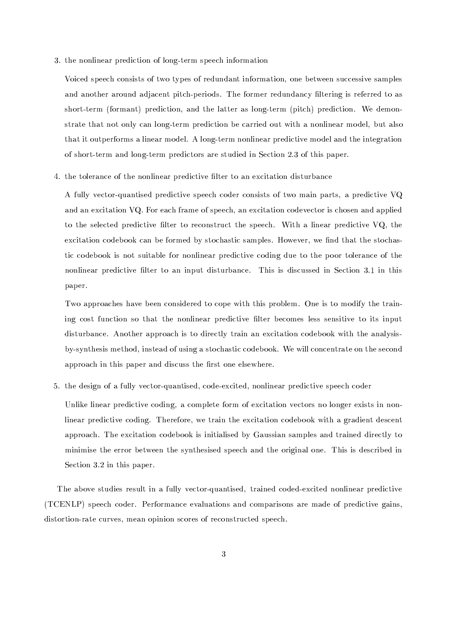3. the nonlinear prediction of long-term speech information

Voiced speech consists of two types of redundant information, one between successive samples and another around adjacent pitch-periods. The former redundancy filtering is referred to as short-term (formant) prediction, and the latter as long-term (pitch) prediction. We demonstrate that not only can long-term prediction be carried out with a nonlinear model, but also that it outperforms a linear model. A long-term nonlinear predictive model and the integration of short-term and long-term predictors are studied in Section 2.3 of this paper.

4. the tolerance of the nonlinear predictive filter to an excitation disturbance

A fully vector-quantised predictive speech coder consists of two main parts, a predictive VQ and an excitation VQ. For each frame of speech, an excitation codevector is chosen and applied to the selected predictive filter to reconstruct the speech. With a linear predictive VQ, the excitation codebook can be formed by stochastic samples. However, we find that the stochastic codebook is not suitable for nonlinear predictive coding due to the poor tolerance of the nonlinear predictive filter to an input disturbance. This is discussed in Section 3.1 in this paper.

Two approaches have been considered to cope with this problem. One is to modify the training cost function so that the nonlinear predictive filter becomes less sensitive to its input disturbance. Another approach is to directly train an excitation codebook with the analysisby-synthesis method, instead of using a stochastic codebook. We will concentrate on the second approach in this paper and discuss the first one elsewhere.

5. the design of a fully vector-quantised, code-excited, nonlinear predictive speech coder

Unlike linear predictive coding, a complete form of excitation vectors no longer exists in nonlinear predictive coding. Therefore, we train the excitation codebook with a gradient descent approach. The excitation codebook is initialised by Gaussian samples and trained directly to minimise the error between the synthesised speech and the original one. This is described in Section 3.2 in this paper.

The above studies result in a fully vector-quantised, trained coded-excited nonlinear predictive (TCENLP) speech coder. Performance evaluations and comparisons are made of predictive gains, distortion-rate curves, mean opinion scores of reconstructed speech.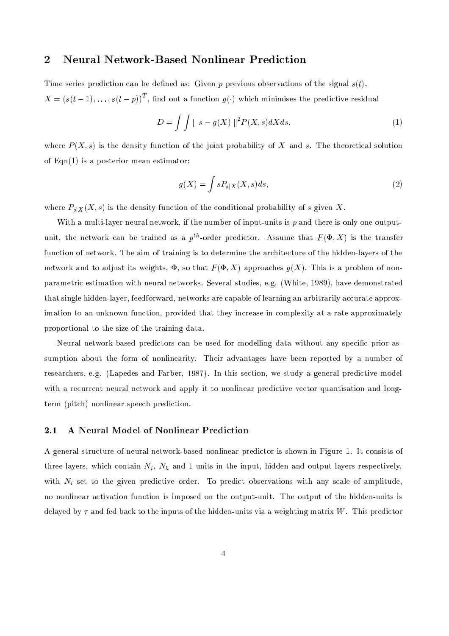#### $\overline{\mathbf{2}}$ **Neural Network-Based Nonlinear Prediction**

Time series prediction can be defined as: Given p previous observations of the signal  $s(t)$ ,  $X = (s(t-1), \ldots, s(t-p))^T$ , find out a function  $g(\cdot)$  which minimises the predictive residual

$$
D = \int \int ||s - g(X)||^2 P(X, s) dX ds. \tag{1}
$$

where  $P(X, s)$  is the density function of the joint probability of X and s. The theoretical solution of  $Eqn(1)$  is a posterior mean estimator:

$$
g(X) = \int s P_{s|X}(X, s) ds,
$$
\n<sup>(2)</sup>

where  $P_{s|X}(X, s)$  is the density function of the conditional probability of s given X.

With a multi-layer neural network, if the number of input-units is p and there is only one outputunit, the network can be trained as a  $p^{th}$ -order predictor. Assume that  $F(\Phi, X)$  is the transfer function of network. The aim of training is to determine the architecture of the hidden-layers of the network and to adjust its weights,  $\Phi$ , so that  $F(\Phi, X)$  approaches  $g(X)$ . This is a problem of nonparametric estimation with neural networks. Several studies, e.g. (White, 1989), have demonstrated that single hidden-layer, feedforward, networks are capable of learning an arbitrarily accurate approximation to an unknown function, provided that they increase in complexity at a rate approximately proportional to the size of the training data.

Neural network-based predictors can be used for modelling data without any specific prior assumption about the form of nonlinearity. Their advantages have been reported by a number of researchers, e.g. (Lapedes and Farber, 1987). In this section, we study a general predictive model with a recurrent neural network and apply it to nonlinear predictive vector quantisation and longterm (pitch) nonlinear speech prediction.

#### $2.1$ A Neural Model of Nonlinear Prediction

A general structure of neural network-based nonlinear predictor is shown in Figure 1. It consists of three layers, which contain  $N_i$ ,  $N_h$  and 1 units in the input, hidden and output layers respectively, with  $N_i$  set to the given predictive order. To predict observations with any scale of amplitude, no nonlinear activation function is imposed on the output-unit. The output of the hidden-units is delayed by  $\tau$  and fed back to the inputs of the hidden-units via a weighting matrix W. This predictor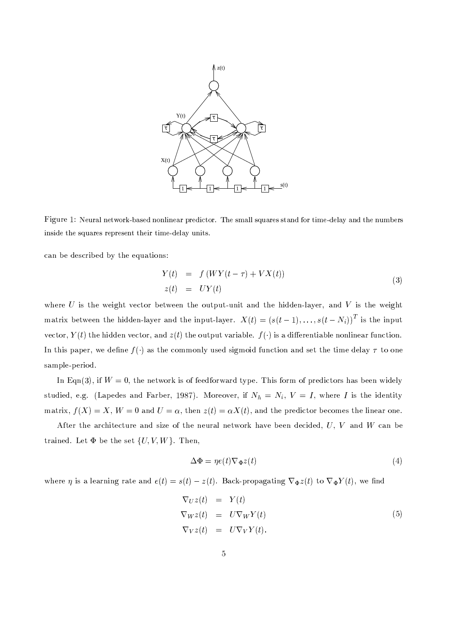

Figure 1: Neural network-based nonlinear predictor. The small squares stand for time-delay and the numbers inside the squares represent their time-delay units.

can be described by the equations:

$$
Y(t) = f(WY(t-\tau) + VX(t))
$$
  
\n
$$
z(t) = UY(t)
$$
\n(3)

where  $U$  is the weight vector between the output-unit and the hidden-layer, and  $V$  is the weight matrix between the hidden-layer and the input-layer.  $X(t) = (s(t-1),...,s(t-N_i))^T$  is the input vector,  $Y(t)$  the hidden vector, and  $z(t)$  the output variable.  $f(\cdot)$  is a differentiable nonlinear function. In this paper, we define  $f(\cdot)$  as the commonly used sigmoid function and set the time delay  $\tau$  to one sample-period.

In Eqn(3), if  $W = 0$ , the network is of feedforward type. This form of predictors has been widely studied, e.g. (Lapedes and Farber, 1987). Moreover, if  $N_h = N_i$ ,  $V = I$ , where I is the identity matrix,  $f(X) = X$ ,  $W = 0$  and  $U = \alpha$ , then  $z(t) = \alpha X(t)$ , and the predictor becomes the linear one.

After the architecture and size of the neural network have been decided,  $U, V$  and  $W$  can be trained. Let  $\Phi$  be the set  $\{U, V, W\}$ . Then,

$$
\Delta \Phi = \eta e(t) \nabla_{\Phi} z(t) \tag{4}
$$

where  $\eta$  is a learning rate and  $e(t) = s(t) - z(t)$ . Back-propagating  $\nabla_{\Phi} z(t)$  to  $\nabla_{\Phi} Y(t)$ , we find

$$
\nabla_U z(t) = Y(t)
$$
  
\n
$$
\nabla_W z(t) = U \nabla_W Y(t)
$$
  
\n
$$
\nabla_V z(t) = U \nabla_V Y(t).
$$
\n(5)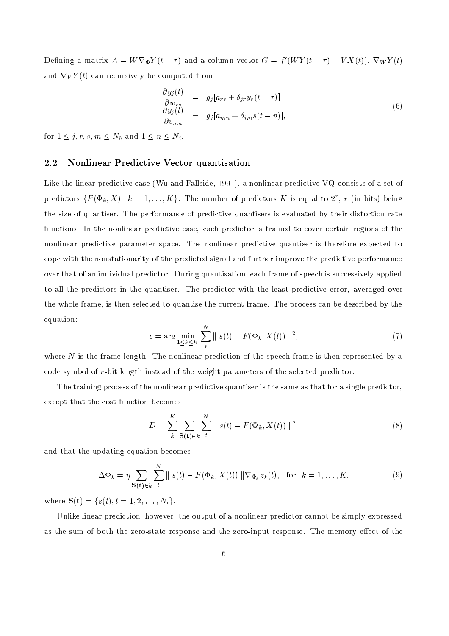Defining a matrix  $A = W \nabla_{\Phi} Y(t - \tau)$  and a column vector  $G = f'(WY(t - \tau) + VX(t)), \nabla_W Y(t)$ and  $\nabla_V Y(t)$  can recursively be computed from

$$
\frac{\partial y_j(t)}{\partial w_{rs}} = g_j[a_{rs} + \delta_{jr} y_s(t-\tau)] \n\frac{\partial y_j(t)}{\partial v_{mn}} = g_j[a_{mn} + \delta_{jm}s(t-n)],
$$
\n(6)

for  $1 \leq j, r, s, m \leq N_h$  and  $1 \leq n \leq N_i$ .

#### Nonlinear Predictive Vector quantisation  $2.2$

Like the linear predictive case (Wu and Fallside, 1991), a nonlinear predictive VQ consists of a set of predictors  $\{F(\Phi_k, X), k = 1, ..., K\}$ . The number of predictors K is equal to  $2^r$ , r (in bits) being the size of quantiser. The performance of predictive quantisers is evaluated by their distortion-rate functions. In the nonlinear predictive case, each predictor is trained to cover certain regions of the nonlinear predictive parameter space. The nonlinear predictive quantiser is therefore expected to cope with the nonstationarity of the predicted signal and further improve the predictive performance over that of an individual predictor. During quantisation, each frame of speech is successively applied to all the predictors in the quantiser. The predictor with the least predictive error, averaged over the whole frame, is then selected to quantise the current frame. The process can be described by the equation:

$$
c = \arg \min_{1 \le k \le K} \sum_{t}^{N} \| s(t) - F(\Phi_k, X(t)) \|^2,
$$
\n(7)

where  $N$  is the frame length. The nonlinear prediction of the speech frame is then represented by a code symbol of r-bit length instead of the weight parameters of the selected predictor.

The training process of the nonlinear predictive quantiser is the same as that for a single predictor, except that the cost function becomes

$$
D = \sum_{k}^{K} \sum_{\mathbf{S(t)} \in k} \sum_{t}^{N} || s(t) - F(\Phi_k, X(t)) ||^2,
$$
\n(8)

and that the updating equation becomes

$$
\Delta \Phi_k = \eta \sum_{\mathbf{S(t)} \in k} \sum_{t}^{N} || s(t) - F(\Phi_k, X(t)) || \nabla_{\Phi_k} z_k(t), \text{ for } k = 1, ..., K.
$$
 (9)

where  $S(t) = \{s(t), t = 1, 2, ..., N.\}.$ 

Unlike linear prediction, however, the output of a nonlinear predictor cannot be simply expressed as the sum of both the zero-state response and the zero-input response. The memory effect of the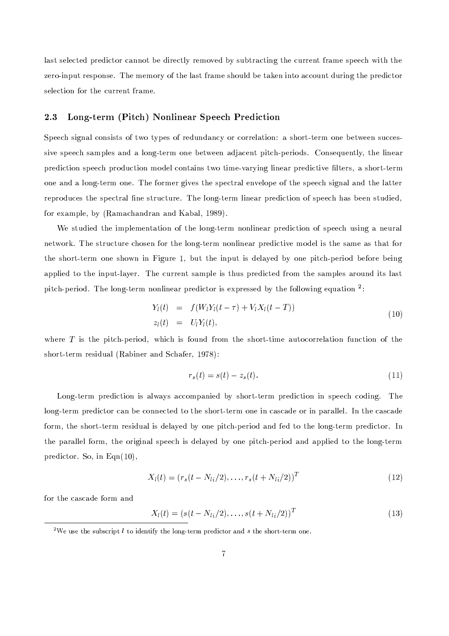last selected predictor cannot be directly removed by subtracting the current frame speech with the zero-input response. The memory of the last frame should be taken into account during the predictor selection for the current frame.

#### 2.3 Long-term (Pitch) Nonlinear Speech Prediction

Speech signal consists of two types of redundancy or correlation: a short-term one between successive speech samples and a long-term one between adjacent pitch-periods. Consequently, the linear prediction speech production model contains two time-varying linear predictive filters, a short-term one and a long-term one. The former gives the spectral envelope of the speech signal and the latter reproduces the spectral fine structure. The long-term linear prediction of speech has been studied, for example, by (Ramachandran and Kabal, 1989).

We studied the implementation of the long-term nonlinear prediction of speech using a neural network. The structure chosen for the long-term nonlinear predictive model is the same as that for the short-term one shown in Figure 1, but the input is delayed by one pitch-period before being applied to the input-layer. The current sample is thus predicted from the samples around its last pitch-period. The long-term nonlinear predictor is expressed by the following equation <sup>2</sup>:

$$
Y_l(t) = f(W_l Y_l(t - \tau) + V_l X_l(t - T))
$$
  
\n
$$
z_l(t) = U_l Y_l(t),
$$
\n(10)

where  $T$  is the pitch-period, which is found from the short-time autocorrelation function of the short-term residual (Rabiner and Schafer, 1978):

$$
r_s(t) = s(t) - z_s(t). \tag{11}
$$

Long-term prediction is always accompanied by short-term prediction in speech coding. The long-term predictor can be connected to the short-term one in cascade or in parallel. In the cascade form, the short-term residual is delayed by one pitch-period and fed to the long-term predictor. In the parallel form, the original speech is delayed by one pitch-period and applied to the long-term predictor. So, in Eqn $(10)$ ,

$$
X_l(t) = (r_s(t - N_{l_i}/2), \dots, r_s(t + N_{l_i}/2))^T
$$
\n(12)

for the cascade form and

$$
X_l(t) = (s(t - N_{l_i}/2), \dots, s(t + N_{l_i}/2))^T
$$
\n(13)

 $\boldsymbol{r}$ 

<sup>&</sup>lt;sup>2</sup>We use the subscript l to identify the long-term predictor and s the short-term one.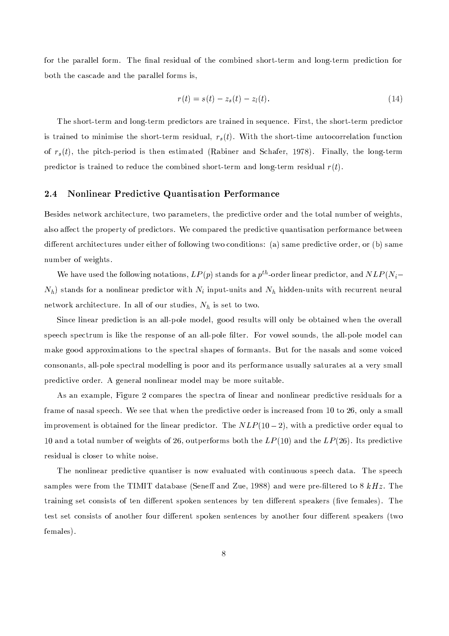for the parallel form. The final residual of the combined short-term and long-term prediction for both the cascade and the parallel forms is,

$$
r(t) = s(t) - z_s(t) - z_l(t).
$$
\n(14)

The short-term and long-term predictors are trained in sequence. First, the short-term predictor is trained to minimise the short-term residual,  $r_s(t)$ . With the short-time autocorrelation function of  $r_s(t)$ , the pitch-period is then estimated (Rabiner and Schafer, 1978). Finally, the long-term predictor is trained to reduce the combined short-term and long-term residual  $r(t)$ .

#### **Nonlinear Predictive Quantisation Performance**  $2.4$

Besides network architecture, two parameters, the predictive order and the total number of weights, also affect the property of predictors. We compared the predictive quantisation performance between different architectures under either of following two conditions: (a) same predictive order, or (b) same number of weights.

We have used the following notations,  $LP(p)$  stands for a  $p^{th}$ -order linear predictor, and  $NLP(N_i N_h$ ) stands for a nonlinear predictor with  $N_i$  input-units and  $N_h$  hidden-units with recurrent neural network architecture. In all of our studies,  $N_h$  is set to two.

Since linear prediction is an all-pole model, good results will only be obtained when the overall speech spectrum is like the response of an all-pole filter. For vowel sounds, the all-pole model can make good approximations to the spectral shapes of formants. But for the nasals and some voiced consonants, all-pole spectral modelling is poor and its performance usually saturates at a very small predictive order. A general nonlinear model may be more suitable.

As an example, Figure 2 compares the spectra of linear and nonlinear predictive residuals for a frame of nasal speech. We see that when the predictive order is increased from 10 to 26, only a small improvement is obtained for the linear predictor. The  $NLP(10-2)$ , with a predictive order equal to 10 and a total number of weights of 26, outperforms both the  $LP(10)$  and the  $LP(26)$ . Its predictive residual is closer to white noise.

The nonlinear predictive quantiser is now evaluated with continuous speech data. The speech samples were from the TIMIT database (Seneff and Zue, 1988) and were pre-filtered to 8  $kHz$ . The training set consists of ten different spoken sentences by ten different speakers (five females). The test set consists of another four different spoken sentences by another four different speakers (two females).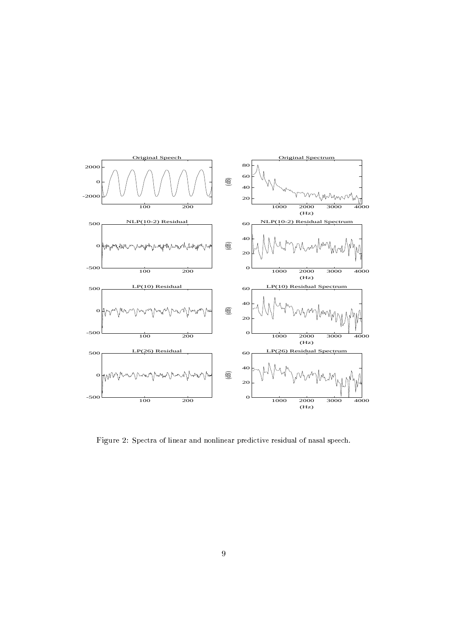

Figure 2: Spectra of linear and nonlinear predictive residual of nasal speech.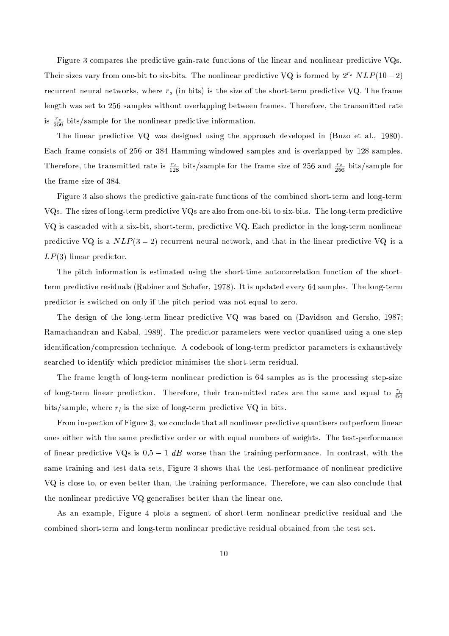Figure 3 compares the predictive gain-rate functions of the linear and nonlinear predictive VQs. Their sizes vary from one-bit to six-bits. The nonlinear predictive VQ is formed by  $2^{r_s} NLP(10-2)$ recurrent neural networks, where  $r_s$  (in bits) is the size of the short-term predictive VQ. The frame length was set to 256 samples without overlapping between frames. Therefore, the transmitted rate is  $\frac{r_s}{256}$  bits/sample for the nonlinear predictive information.

The linear predictive VQ was designed using the approach developed in (Buzo et al., 1980). Each frame consists of 256 or 384 Hamming-windowed samples and is overlapped by 128 samples. Therefore, the transmitted rate is  $\frac{r_s}{128}$  bits/sample for the frame size of 256 and  $\frac{r_s}{256}$  bits/sample for the frame size of 384.

Figure 3 also shows the predictive gain-rate functions of the combined short-term and long-term VQs. The sizes of long-term predictive VQs are also from one-bit to six-bits. The long-term predictive VQ is cascaded with a six-bit, short-term, predictive VQ. Each predictor in the long-term nonlinear predictive VQ is a  $NLP(3-2)$  recurrent neural network, and that in the linear predictive VQ is a  $LP(3)$  linear predictor.

The pitch information is estimated using the short-time autocorrelation function of the shortterm predictive residuals (Rabiner and Schafer, 1978). It is updated every 64 samples. The long-term predictor is switched on only if the pitch-period was not equal to zero.

The design of the long-term linear predictive VQ was based on (Davidson and Gersho, 1987; Ramachandran and Kabal, 1989). The predictor parameters were vector-quantised using a one-step identification/compression technique. A codebook of long-term predictor parameters is exhaustively searched to identify which predictor minimises the short-term residual.

The frame length of long-term nonlinear prediction is 64 samples as is the processing step-size of long-term linear prediction. Therefore, their transmitted rates are the same and equal to  $\frac{r_l}{64}$ bits/sample, where  $r_l$  is the size of long-term predictive VQ in bits.

From inspection of Figure 3, we conclude that all nonlinear predictive quantisers outperform linear ones either with the same predictive order or with equal numbers of weights. The test-performance of linear predictive VQs is  $0.5 - 1$  dB worse than the training-performance. In contrast, with the same training and test data sets, Figure 3 shows that the test-performance of nonlinear predictive VQ is close to, or even better than, the training-performance. Therefore, we can also conclude that the nonlinear predictive VQ generalises better than the linear one.

As an example, Figure 4 plots a segment of short-term nonlinear predictive residual and the combined short-term and long-term nonlinear predictive residual obtained from the test set.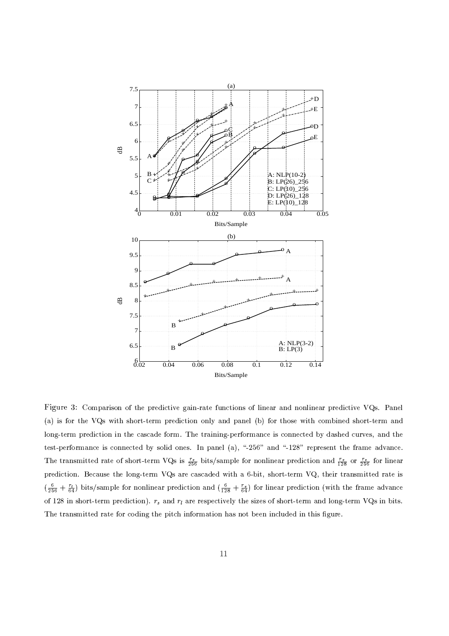

The transmitted rate of short-term VOs is  $\frac{rs}{\sqrt{2}}$  bits/sample for nonlinear prediction and  $\frac{rs}{\sqrt{2}}$  or  $\frac{rs}{\sqrt{2}}$  for linear  $\left(\frac{6}{25} + \frac{r_1}{2}\right)$  bits/sample for nonlinear prediction and  $\left(\frac{6}{25} + \frac{r_2}{2}\right)$  for linear prediction (with the frame advance of 128 in short-term prediction).  $r_s$  and  $r_l$  are respectively the sizes of short-term and long-term VQs in bits. Figure 3: Comparison of the predictive gain-rate functions of linear and nonlinear predictive VOs. Panel (a) is for the VOs with short-term prediction only and panel (b) for those with combined short-term and long-term prediction in the cascade form. The training-performance is connected by dashed curves, and the test-performance is connected by solid ones. In panel (a), "-256" and "-128" represent the frame advance. prediction. Because the long-term VOs are cascaded with a 6-bit, short-term VO, their transmitted rate is The transmitted rate for coding the pitch information has not been included in this figur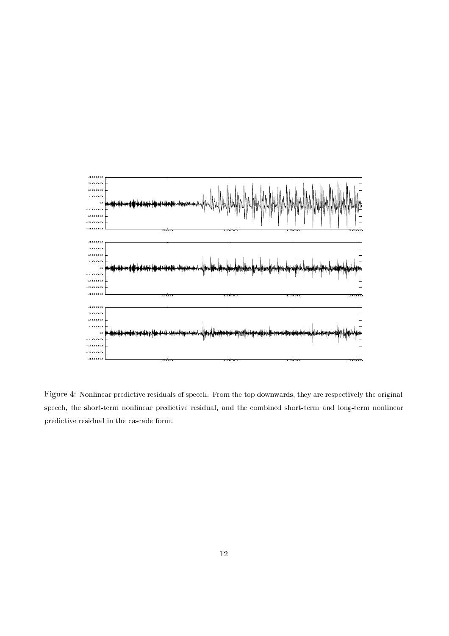

Figure 4: Nonlinear predictive residuals of speech. From the top downwards, they are respectively the original speech, the short-term nonlinear predictive residual, and the combined short-term and long-term nonlinear predictive residual in the cascade form.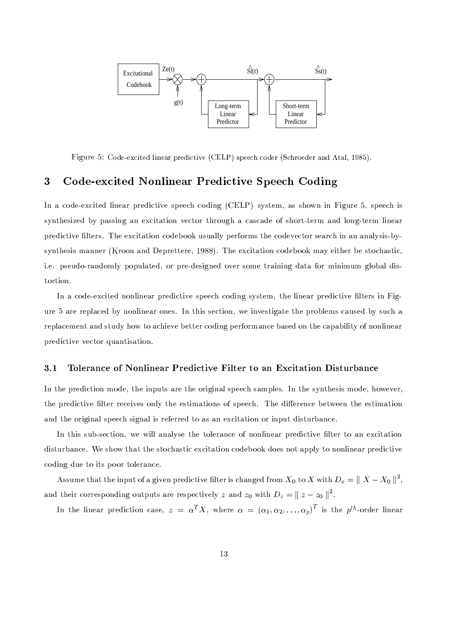

Figure 5: Code-excited linear predictive (CELP) speech coder (Schroeder and Atal, 1985).

#### 3 Code-excited Nonlinear Predictive Speech Coding

In a code-excited linear predictive speech coding (CELP) system, as shown in Figure 5, speech is synthesized by passing an excitation vector through a cascade of short-term and long-term linear predictive filters. The excitation codebook usually performs the codevector search in an analysis-bysynthesis manner (Kroon and Deprettere, 1988). The excitation codebook may either be stochastic, i.e. pseudo-randomly populated, or pre-designed over some training data for minimum global distortion.

In a code-excited nonlinear predictive speech coding system, the linear predictive filters in Figure 5 are replaced by nonlinear ones. In this section, we investigate the problems caused by such a replacement and study how to achieve better coding performance based on the capability of nonlinear predictive vector quantisation.

#### $3.1$ Tolerance of Nonlinear Predictive Filter to an Excitation Disturbance

In the prediction mode, the inputs are the original speech samples. In the synthesis mode, however, the predictive filter receives only the estimations of speech. The difference between the estimation and the original speech signal is referred to as an excitation or input disturbance.

In this sub-section, we will analyse the tolerance of nonlinear predictive filter to an excitation disturbance. We show that the stochastic excitation codebook does not apply to nonlinear predictive coding due to its poor tolerance.

Assume that the input of a given predictive filter is changed from  $X_0$  to X with  $D_x = ||X - X_0||^2$ , and their corresponding outputs are respectively z and  $z_0$  with  $D_z = ||z - z_0||^2$ .

In the linear prediction case,  $z = \alpha^T X$ , where  $\alpha = (\alpha_1, \alpha_2, ..., \alpha_n)^T$  is the p<sup>th</sup>-order linear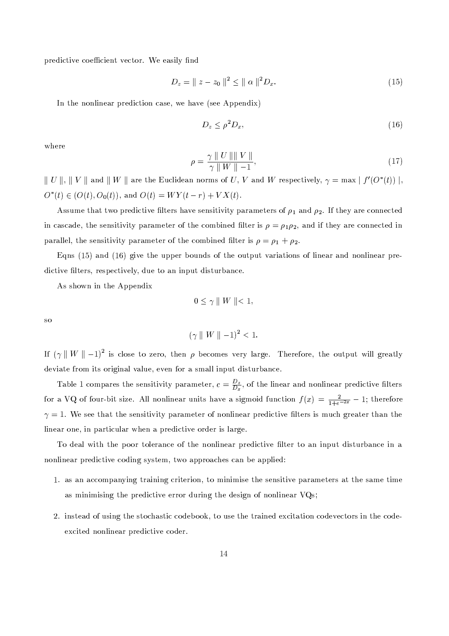predictive coefficient vector. We easily find

$$
D_z = \| z - z_0 \|^2 \le \| \alpha \|^2 D_x. \tag{15}
$$

In the nonlinear prediction case, we have (see Appendix)

$$
D_z \le \rho^2 D_x,\tag{16}
$$

where

$$
\rho = \frac{\gamma \parallel U \parallel \parallel V \parallel}{\gamma \parallel W \parallel -1},\tag{17}
$$

 $\parallel U \parallel$ ,  $\parallel V \parallel$  and  $\parallel W \parallel$  are the Euclidean norms of U, V and W respectively,  $\gamma = \max |f'(O^*(t))|$ ,  $O^*(t) \in (O(t), O_0(t)),$  and  $O(t) = WY(t - r) + VX(t)$ .

Assume that two predictive filters have sensitivity parameters of  $\rho_1$  and  $\rho_2$ . If they are connected in cascade, the sensitivity parameter of the combined filter is  $\rho = \rho_1 \rho_2$ , and if they are connected in parallel, the sensitivity parameter of the combined filter is  $\rho = \rho_1 + \rho_2$ .

Eqns  $(15)$  and  $(16)$  give the upper bounds of the output variations of linear and nonlinear predictive filters, respectively, due to an input disturbance.

As shown in the Appendix

$$
0\leq \gamma \parallel W \parallel <1,
$$

**SO** 

$$
(\gamma \parallel W \parallel -1)^2 < 1.
$$

If  $(\gamma || W || - 1)^2$  is close to zero, then  $\rho$  becomes very large. Therefore, the output will greatly deviate from its original value, even for a small input disturbance.

Table 1 compares the sensitivity parameter,  $c = \frac{D_z}{D_x}$ , of the linear and nonlinear predictive filters for a VQ of four-bit size. All nonlinear units have a sigmoid function  $f(x) = \frac{2}{1+e^{-2x}} - 1$ ; therefore  $\gamma = 1$ . We see that the sensitivity parameter of nonlinear predictive filters is much greater than the linear one, in particular when a predictive order is large.

To deal with the poor tolerance of the nonlinear predictive filter to an input disturbance in a nonlinear predictive coding system, two approaches can be applied:

- 1. as an accompanying training criterion, to minimise the sensitive parameters at the same time as minimising the predictive error during the design of nonlinear VQs;
- 2. instead of using the stochastic codebook, to use the trained excitation codevectors in the codeexcited nonlinear predictive coder.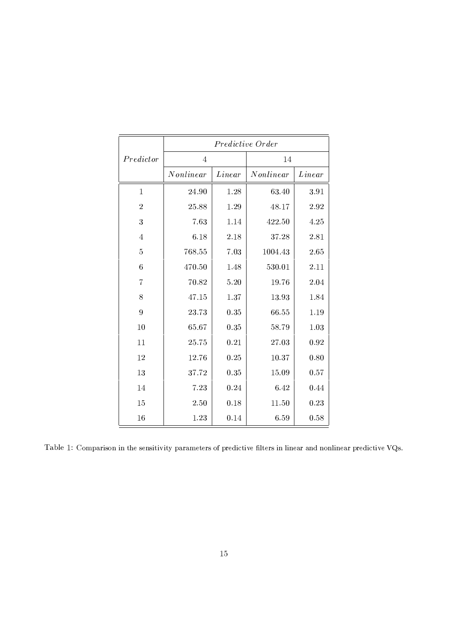|                | Predictive Order |        |           |        |
|----------------|------------------|--------|-----------|--------|
| Predictor      | $\overline{4}$   |        | 14        |        |
|                | Nonlinear        | Linear | Nonlinear | Linear |
| $\mathbf{1}$   | 24.90            | 1.28   | 63.40     | 3.91   |
| $\overline{2}$ | 25.88            | 1.29   | 48.17     | 2.92   |
| 3              | 7.63             | 1.14   | 422.50    | 4.25   |
| $\overline{4}$ | 6.18             | 2.18   | 37.28     | 2.81   |
| $\overline{5}$ | 768.55           | 7.03   | 1004.43   | 2.65   |
| $\overline{6}$ | 470.50           | 1.48   | 530.01    | 2.11   |
| $\overline{7}$ | 70.82            | 5.20   | 19.76     | 2.04   |
| 8              | 47.15            | 1.37   | 13.93     | 1.84   |
| 9              | 23.73            | 0.35   | 66.55     | 1.19   |
| 10             | 65.67            | 0.35   | 58.79     | 1.03   |
| 11             | 25.75            | 0.21   | 27.03     | 0.92   |
| 12             | 12.76            | 0.25   | 10.37     | 0.80   |
| 13             | 37.72            | 0.35   | 15.09     | 0.57   |
| 14             | 7.23             | 0.24   | 6.42      | 0.44   |
| 15             | 2.50             | 0.18   | 11.50     | 0.23   |
| 16             | 1.23             | 0.14   | 6.59      | 0.58   |

Table 1: Comparison in the sensitivity parameters of predictive filters in linear and nonlinear predictive VOs.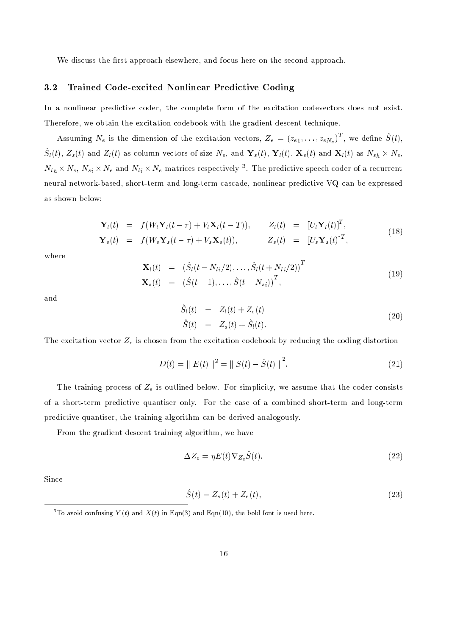We discuss the first approach elsewhere, and focus here on the second approach.

#### Trained Code-excited Nonlinear Predictive Coding  $3.2$

In a nonlinear predictive coder, the complete form of the excitation codevectors does not exist. Therefore, we obtain the excitation codebook with the gradient descent technique.

Assuming  $N_e$  is the dimension of the excitation vectors,  $Z_e = (z_{e1}, \ldots, z_{eN_e})^T$ , we define  $\hat{S}(t)$ ,  $\hat{S}_l(t)$ ,  $Z_s(t)$  and  $Z_l(t)$  as column vectors of size  $N_e$ , and  $\mathbf{Y}_s(t)$ ,  $\mathbf{Y}_l(t)$ ,  $\mathbf{X}_s(t)$  and  $\mathbf{X}_l(t)$  as  $N_{sh} \times N_e$ ,  $N_{lh} \times N_e$ ,  $N_{si} \times N_e$  and  $N_{li} \times N_e$  matrices respectively <sup>3</sup>. The predictive speech coder of a recurrent neural network-based, short-term and long-term cascade, nonlinear predictive VQ can be expressed as shown below:

$$
\mathbf{Y}_{l}(t) = f(W_{l}\mathbf{Y}_{l}(t-\tau) + V_{l}\mathbf{X}_{l}(t-T)), \qquad Z_{l}(t) = [U_{l}\mathbf{Y}_{l}(t)]^{T},
$$
  
\n
$$
\mathbf{Y}_{s}(t) = f(W_{s}\mathbf{Y}_{s}(t-\tau) + V_{s}\mathbf{X}_{s}(t)), \qquad Z_{s}(t) = [U_{s}\mathbf{Y}_{s}(t)]^{T},
$$
\n(18)

where

$$
\mathbf{X}_{l}(t) = (\hat{S}_{l}(t - N_{li}/2), \dots, \hat{S}_{l}(t + N_{li}/2))^{T}
$$
\n
$$
\mathbf{X}_{s}(t) = (\hat{S}(t-1), \dots, \hat{S}(t - N_{si}))^{T},
$$
\n(19)

and

$$
\begin{aligned}\n\hat{S}_l(t) &= Z_l(t) + Z_e(t) \\
\hat{S}(t) &= Z_s(t) + \hat{S}_l(t).\n\end{aligned} \tag{20}
$$

The excitation vector  $Z_e$  is chosen from the excitation codebook by reducing the coding distortion

$$
D(t) = || E(t) ||^{2} = || S(t) - \hat{S}(t) ||^{2}.
$$
 (21)

The training process of  $Z_e$  is outlined below. For simplicity, we assume that the coder consists of a short-term predictive quantiser only. For the case of a combined short-term and long-term predictive quantiser, the training algorithm can be derived analogously.

From the gradient descent training algorithm, we have

$$
\Delta Z_e = \eta E(t) \nabla_{Z_e} \hat{S}(t). \tag{22}
$$

Since

$$
\hat{S}(t) = Z_s(t) + Z_e(t),\tag{23}
$$

<sup>&</sup>lt;sup>3</sup>To avoid confusing  $Y(t)$  and  $X(t)$  in Eqn(3) and Eqn(10), the bold font is used here.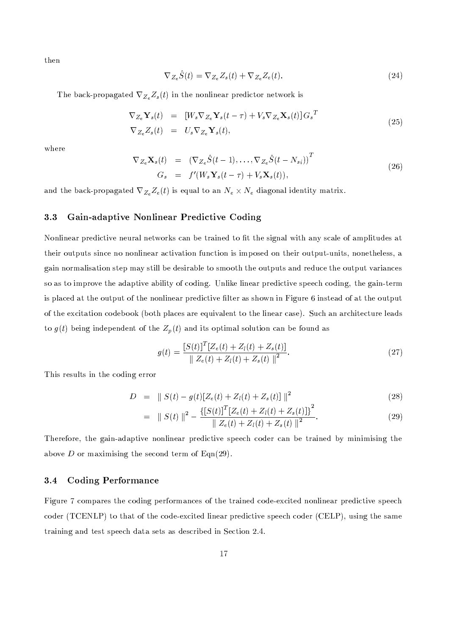then

$$
\nabla_{Z_e}\hat{S}(t) = \nabla_{Z_e}Z_s(t) + \nabla_{Z_e}Z_e(t).
$$
\n(24)

The back-propagated  $\nabla_{Z_e} Z_s(t)$  in the nonlinear predictor network is

$$
\nabla_{Z_e} \mathbf{Y}_s(t) = [W_s \nabla_{Z_e} \mathbf{Y}_s(t - \tau) + V_s \nabla_{Z_e} \mathbf{X}_s(t)] G_s^T
$$
  
\n
$$
\nabla_{Z_e} Z_s(t) = U_s \nabla_{Z_e} \mathbf{Y}_s(t),
$$
\n(25)

where

$$
\nabla_{Z_e} \mathbf{X}_s(t) = \left( \nabla_{Z_e} \hat{S}(t-1), \dots, \nabla_{Z_e} \hat{S}(t-N_{si}) \right)^T
$$
  
\n
$$
G_s = f'(W_s \mathbf{Y}_s(t-\tau) + V_s \mathbf{X}_s(t)),
$$
\n(26)

and the back-propagated  $\nabla_{Z_e} Z_e(t)$  is equal to an  $N_e \times N_e$  diagonal identity matrix.

#### Gain-adaptive Nonlinear Predictive Coding 3.3

Nonlinear predictive neural networks can be trained to fit the signal with any scale of amplitudes at their outputs since no nonlinear activation function is imposed on their output-units, nonetheless, a gain normalisation step may still be desirable to smooth the outputs and reduce the output variances so as to improve the adaptive ability of coding. Unlike linear predictive speech coding, the gain-term is placed at the output of the nonlinear predictive filter as shown in Figure 6 instead of at the output of the excitation codebook (both places are equivalent to the linear case). Such an architecture leads to  $g(t)$  being independent of the  $Z_p(t)$  and its optimal solution can be found as

$$
g(t) = \frac{[S(t)]^T [Z_e(t) + Z_l(t) + Z_s(t)]}{\|Z_e(t) + Z_l(t) + Z_s(t)\|^2}.
$$
\n(27)

This results in the coding error

$$
D = || S(t) - g(t) [Z_e(t) + Z_l(t) + Z_s(t)] ||^2
$$
\n(28)

$$
= \| S(t) \|^2 - \frac{\{ [S(t)]^T [Z_e(t) + Z_l(t) + Z_s(t)] \}^2}{\| Z_e(t) + Z_l(t) + Z_s(t) \|^2}.
$$
\n(29)

Therefore, the gain-adaptive nonlinear predictive speech coder can be trained by minimising the above D or maximising the second term of  $\text{Eqn}(29)$ .

#### **Coding Performance**  $3.4$

Figure 7 compares the coding performances of the trained code-excited nonlinear predictive speech coder (TCENLP) to that of the code-excited linear predictive speech coder (CELP), using the same training and test speech data sets as described in Section 2.4.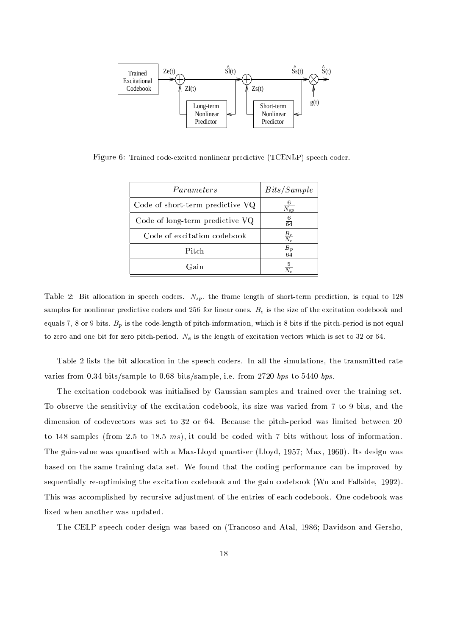

Figure 6: Trained code-excited nonlinear predictive (TCENLP) speech coder.

| Parameters                       | Bits/Sample        |  |
|----------------------------------|--------------------|--|
| Code of short-term predictive VQ | $\frac{6}{N_{sp}}$ |  |
| Code of long-term predictive VQ  | $\frac{6}{64}$     |  |
| Code of excitation codebook      | $\frac{B_e}{N_e}$  |  |
| Pitch                            | $\frac{B_p}{64}$   |  |
| Gain                             | $\overline{2}$     |  |

Table 2: Bit allocation in speech coders.  $N_{sp}$ , the frame length of short-term prediction, is equal to 128 samples for nonlinear predictive coders and 256 for linear ones.  $B_e$  is the size of the excitation codebook and equals 7, 8 or 9 bits.  $B_p$  is the code-length of pitch-information, which is 8 bits if the pitch-period is not equal to zero and one bit for zero pitch-period.  $N_e$  is the length of excitation vectors which is set to 32 or 64.

Table 2 lists the bit allocation in the speech coders. In all the simulations, the transmitted rate varies from 0.34 bits/sample to 0.68 bits/sample, i.e. from 2720 bps to 5440 bps.

The excitation codebook was initialised by Gaussian samples and trained over the training set. To observe the sensitivity of the excitation codebook, its size was varied from 7 to 9 bits, and the dimension of codevectors was set to 32 or 64. Because the pitch-period was limited between 20 to 148 samples (from 2.5 to 18.5  $ms$ ), it could be coded with 7 bits without loss of information. The gain-value was quantised with a Max-Lloyd quantiser (Lloyd, 1957; Max, 1960). Its design was based on the same training data set. We found that the coding performance can be improved by sequentially re-optimising the excitation codebook and the gain codebook (Wu and Fallside, 1992). This was accomplished by recursive adjustment of the entries of each codebook. One codebook was fixed when another was updated.

The CELP speech coder design was based on (Trancoso and Atal, 1986; Davidson and Gersho,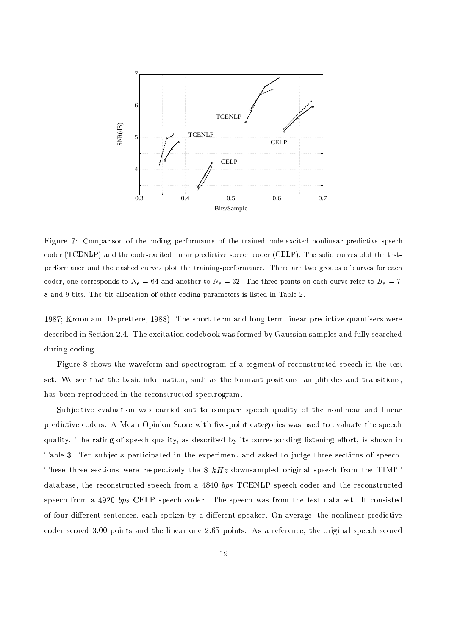

Figure 7: Comparison of the coding performance of the trained code-excited nonlinear predictive speech coder (TCENLP) and the code-excited linear predictive speech coder (CELP). The solid curves plot the testperformance and the dashed curves plot the training-performance. There are two groups of curves for each coder, one corresponds to  $N_e = 64$  and another to  $N_e = 32$ . The three points on each curve refer to  $B_e = 7$ , 8 and 9 bits. The bit allocation of other coding parameters is listed in Table 2.

1987; Kroon and Deprettere, 1988). The short-term and long-term linear predictive quantisers were described in Section 2.4. The excitation codebook was formed by Gaussian samples and fully searched during coding.

Figure 8 shows the waveform and spectrogram of a segment of reconstructed speech in the test set. We see that the basic information, such as the formant positions, amplitudes and transitions, has been reproduced in the reconstructed spectrogram.

Subjective evaluation was carried out to compare speech quality of the nonlinear and linear predictive coders. A Mean Opinion Score with five-point categories was used to evaluate the speech quality. The rating of speech quality, as described by its corresponding listening effort, is shown in Table 3. Ten subjects participated in the experiment and asked to judge three sections of speech. These three sections were respectively the 8  $kHz$ -downsampled original speech from the TIMIT database, the reconstructed speech from a 4840 bps TCENLP speech coder and the reconstructed speech from a 4920 bps CELP speech coder. The speech was from the test data set. It consisted of four different sentences, each spoken by a different speaker. On average, the nonlinear predictive coder scored 3.00 points and the linear one 2.65 points. As a reference, the original speech scored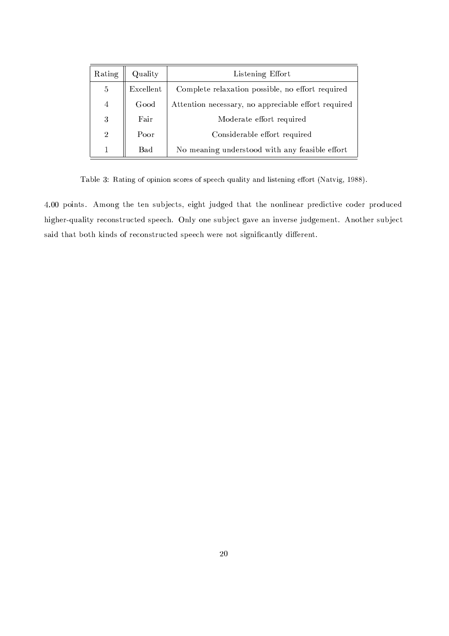| Rating         | Quality   | Listening Effort                                    |  |
|----------------|-----------|-----------------------------------------------------|--|
| 5              | Excellent | Complete relaxation possible, no effort required    |  |
| $\overline{4}$ | Good      | Attention necessary, no appreciable effort required |  |
| 3              | Fair      | Moderate effort required                            |  |
| $\overline{2}$ | Poor      | Considerable effort required                        |  |
| 1              | Bad       | No meaning understood with any feasible effort      |  |

Table 3: Rating of opinion scores of speech quality and listening effort (Natvig, 1988).

4.00 points. Among the ten subjects, eight judged that the nonlinear predictive coder produced higher-quality reconstructed speech. Only one subject gave an inverse judgement. Another subject said that both kinds of reconstructed speech were not significantly different.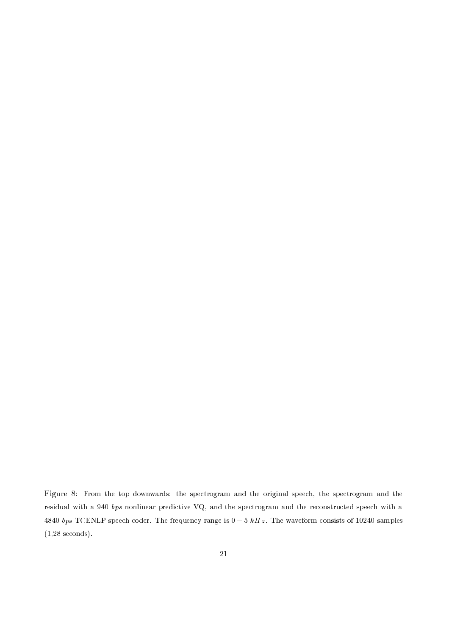Figure 8: From the top downwards: the spectrogram and the original speech, the spectrogram and the residual with a 940 bps nonlinear predictive VQ, and the spectrogram and the reconstructed speech with a 4840 bps TCENLP speech coder. The frequency range is  $0-5$  kHz. The waveform consists of 10240 samples  $(1.28$  seconds).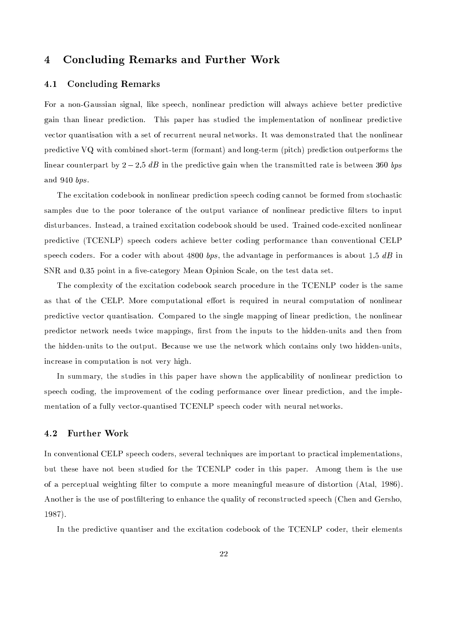#### $\overline{\mathbf{4}}$ **Concluding Remarks and Further Work**

#### **Concluding Remarks**  $4.1$

For a non-Gaussian signal, like speech, nonlinear prediction will always achieve better predictive gain than linear prediction. This paper has studied the implementation of nonlinear predictive vector quantisation with a set of recurrent neural networks. It was demonstrated that the nonlinear predictive VQ with combined short-term (formant) and long-term (pitch) prediction outperforms the linear counterpart by  $2-2.5$  dB in the predictive gain when the transmitted rate is between 360 bps and  $940$  bps.

The excitation codebook in nonlinear prediction speech coding cannot be formed from stochastic samples due to the poor tolerance of the output variance of nonlinear predictive filters to input disturbances. Instead, a trained excitation codebook should be used. Trained code-excited nonlinear predictive (TCENLP) speech coders achieve better coding performance than conventional CELP speech coders. For a coder with about 4800 bps, the advantage in performances is about 1.5 dB in SNR and 0.35 point in a five-category Mean Opinion Scale, on the test data set.

The complexity of the excitation codebook search procedure in the TCENLP coder is the same as that of the CELP. More computational effort is required in neural computation of nonlinear predictive vector quantisation. Compared to the single mapping of linear prediction, the nonlinear predictor network needs twice mappings, first from the inputs to the hidden-units and then from the hidden-units to the output. Because we use the network which contains only two hidden-units. increase in computation is not very high.

In summary, the studies in this paper have shown the applicability of nonlinear prediction to speech coding, the improvement of the coding performance over linear prediction, and the implementation of a fully vector-quantised TCENLP speech coder with neural networks.

#### 4.2 **Further Work**

In conventional CELP speech coders, several techniques are important to practical implementations, but these have not been studied for the TCENLP coder in this paper. Among them is the use of a perceptual weighting filter to compute a more meaningful measure of distortion (Atal, 1986). Another is the use of postfiltering to enhance the quality of reconstructed speech (Chen and Gersho.  $1987$ .

In the predictive quantiser and the excitation codebook of the TCENLP coder, their elements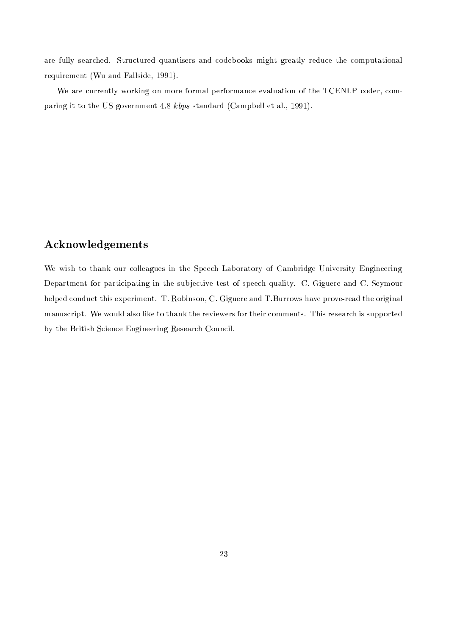are fully searched. Structured quantisers and codebooks might greatly reduce the computational requirement (Wu and Fallside, 1991).

We are currently working on more formal performance evaluation of the TCENLP coder, comparing it to the US government 4.8 kbps standard (Campbell et al., 1991).

# **Acknowledgements**

We wish to thank our colleagues in the Speech Laboratory of Cambridge University Engineering Department for participating in the subjective test of speech quality. C. Giguere and C. Seymour helped conduct this experiment. T. Robinson, C. Giguere and T. Burrows have prove-read the original manuscript. We would also like to thank the reviewers for their comments. This research is supported by the British Science Engineering Research Council.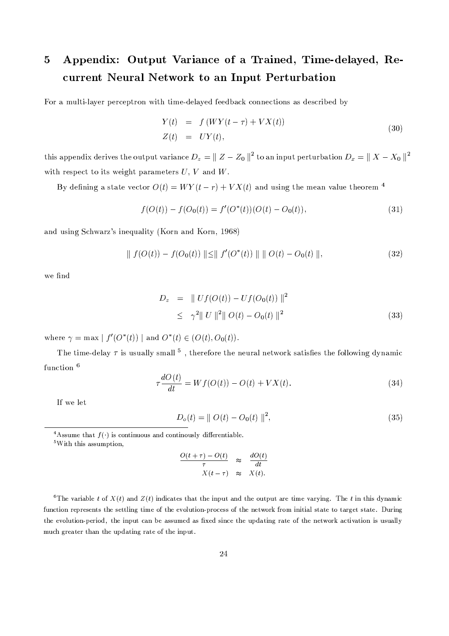## Appendix: Output Variance of a Trained, Time-delayed, Re- $\bf{5}$ current Neural Network to an Input Perturbation

For a multi-layer perceptron with time-delayed feedback connections as described by

$$
Y(t) = f(WY(t-\tau) + VX(t))
$$
  
\n
$$
Z(t) = UY(t),
$$
\n(30)

this appendix derives the output variance  $D_z = || Z - Z_0 ||^2$  to an input perturbation  $D_x = || X - X_0 ||^2$ with respect to its weight parameters  $U, V$  and  $W$ .

By defining a state vector  $O(t) = WY(t - r) + VX(t)$  and using the mean value theorem <sup>4</sup>

$$
f(O(t)) - f(O_0(t)) = f'(O^*(t))(O(t) - O_0(t)),
$$
\n(31)

and using Schwarz's inequality (Korn and Korn, 1968)

$$
\| f(O(t)) - f(O_0(t)) \| \le \| f'(O^*(t)) \| \| O(t) - O_0(t) \|,
$$
\n(32)

we find

$$
D_z = || Uf(O(t)) - Uf(O_0(t)) ||^2
$$
  
\n
$$
\leq \gamma^2 || U ||^2 || O(t) - O_0(t) ||^2
$$
\n(33)

where  $\gamma = \max | f'(O^*(t)) |$  and  $O^*(t) \in (O(t), O_0(t)).$ 

The time-delay  $\tau$  is usually small <sup>5</sup>, therefore the neural network satisfies the following dynamic function 6

$$
\tau \frac{dO(t)}{dt} = Wf(O(t)) - O(t) + VX(t). \tag{34}
$$

If we let

$$
D_o(t) = || O(t) - O_0(t) ||^2,
$$
\n(35)

 $5$ With this assumption,

$$
\frac{O(t+\tau) - O(t)}{\tau} \quad \approx \quad \frac{dO(t)}{dt}
$$

$$
X(t-\tau) \quad \approx \quad X(t).
$$

<sup>6</sup>The variable t of  $X(t)$  and  $Z(t)$  indicates that the input and the output are time varying. The t in this dynamic function represents the settling time of the evolution-process of the network from initial state to target state. During the evolution-period, the input can be assumed as fixed since the updating rate of the network activation is usually much greater than the updating rate of the input.

<sup>&</sup>lt;sup>4</sup>Assume that  $f(\cdot)$  is continuous and continuously differentiable.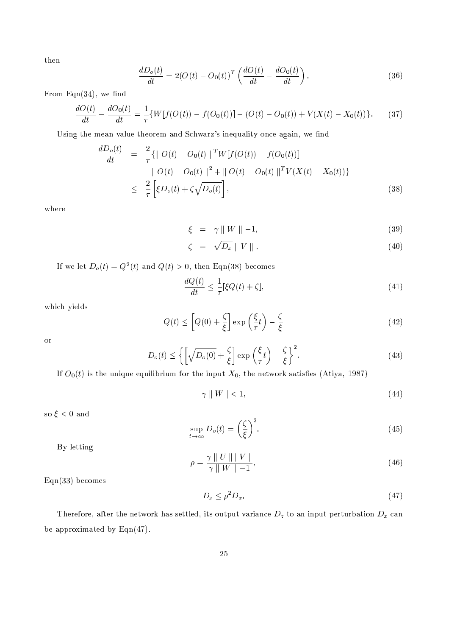then

$$
\frac{dD_o(t)}{dt} = 2(O(t) - O_0(t))^T \left( \frac{dO(t)}{dt} - \frac{dO_0(t)}{dt} \right).
$$
\n(36)

From  $Eqn(34)$ , we find

$$
\frac{dO(t)}{dt} - \frac{dO_0(t)}{dt} = \frac{1}{\tau} \{ W[f(O(t)) - f(O_0(t))] - (O(t) - O_0(t)) + V(X(t) - X_0(t)) \}.
$$
 (37)

Using the mean value theorem and Schwarz's inequality once again, we find

$$
\frac{dD_o(t)}{dt} = \frac{2}{\tau} \{ || O(t) - O_0(t) ||^T W [f(O(t)) - f(O_0(t))]
$$
  
\n
$$
- || O(t) - O_0(t) ||^2 + || O(t) - O_0(t) ||^T V (X(t) - X_0(t)) \}
$$
  
\n
$$
\leq \frac{2}{\tau} \left[ \xi D_o(t) + \zeta \sqrt{D_o(t)} \right],
$$
\n(38)

where

$$
\xi = \gamma \| W \| -1,\tag{39}
$$

$$
\zeta = \sqrt{D_x} || V ||. \tag{40}
$$

If we let  $D_o(t) = Q^2(t)$  and  $Q(t) > 0$ , then Eqn(38) becomes

$$
\frac{dQ(t)}{dt} \le \frac{1}{\tau} [\xi Q(t) + \zeta],\tag{41}
$$

which yields

$$
Q(t) \le \left[Q(0) + \frac{\zeta}{\xi}\right] \exp\left(\frac{\xi}{\tau}t\right) - \frac{\zeta}{\xi}
$$
\n(42)

 $\overline{\text{or}}$ 

$$
D_o(t) \le \left\{ \left[ \sqrt{D_o(0)} + \frac{\zeta}{\xi} \right] \exp\left(\frac{\xi}{\tau}t\right) - \frac{\zeta}{\xi} \right\}^2.
$$
 (43)

If  $O_0(t)$  is the unique equilibrium for the input  $X_0$ , the network satisfies (Atiya, 1987)

$$
\gamma \parallel W \parallel < 1,\tag{44}
$$

so $\xi<0$  and

$$
\sup_{t \to \infty} D_o(t) = \left(\frac{\zeta}{\xi}\right)^2. \tag{45}
$$

By letting

$$
\rho = \frac{\gamma \parallel U \parallel \parallel V \parallel}{\gamma \parallel W \parallel -1},\tag{46}
$$

 $Eqn(33)$  becomes

$$
D_z \le \rho^2 D_x. \tag{47}
$$

Therefore, after the network has settled, its output variance  $D_z$  to an input perturbation  $D_x$  can be approximated by  $Eqn(47)$ .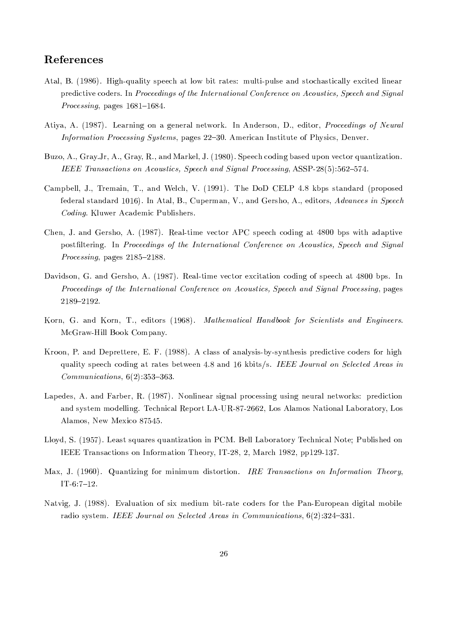# References

- Atal, B. (1986). High-quality speech at low bit rates: multi-pulse and stochastically excited linear predictive coders. In Proceedings of the International Conference on Acoustics, Speech and Signal Processing, pages 1681-1684.
- Atiya, A. (1987). Learning on a general network. In Anderson, D., editor, *Proceedings of Neural Information Processing Systems, pages 22–30. American Institute of Physics, Denver.*
- Buzo, A., Gray.Jr, A., Gray, R., and Markel, J. (1980). Speech coding based upon vector quantization. IEEE Transactions on Acoustics, Speech and Signal Processing, ASSP-28(5):562-574.
- Campbell, J., Tremain, T., and Welch, V. (1991). The DoD CELP 4.8 kbps standard (proposed federal standard 1016). In Atal, B., Cuperman, V., and Gersho, A., editors, Advances in Speech Coding. Kluwer Academic Publishers.
- Chen, J. and Gersho, A. (1987). Real-time vector APC speech coding at 4800 bps with adaptive postfiltering. In Proceedings of the International Conference on Acoustics, Speech and Signal *Processing*, pages  $2185-2188$ .
- Davidson, G. and Gersho, A. (1987). Real-time vector excitation coding of speech at 4800 bps. In Proceedings of the International Conference on Acoustics, Speech and Signal Processing, pages 2189-2192.
- Korn, G. and Korn, T., editors (1968). Mathematical Handbook for Scientists and Engineers. McGraw-Hill Book Company.
- Kroon, P. and Deprettere, E. F. (1988). A class of analysis-by-synthesis predictive coders for high quality speech coding at rates between 4.8 and 16 kbits/s. IEEE Journal on Selected Areas in  $Communications, 6(2):353-363.$
- Lapedes, A. and Farber, R. (1987). Nonlinear signal processing using neural networks: prediction and system modelling. Technical Report LA-UR-87-2662, Los Alamos National Laboratory, Los Alamos, New Mexico 87545.
- Lloyd, S. (1957). Least squares quantization in PCM. Bell Laboratory Technical Note; Published on IEEE Transactions on Information Theory, IT-28, 2, March 1982, pp129-137.
- Max, J. (1960). Quantizing for minimum distortion. IRE Transactions on Information Theory.  $IT-6:7-12.$
- Natvig, J. (1988). Evaluation of six medium bit-rate coders for the Pan-European digital mobile radio system. IEEE Journal on Selected Areas in Communications,  $6(2):324-331$ .